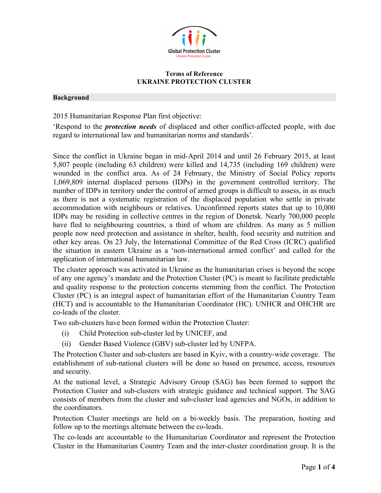

#### **Terms of Reference UKRAINE PROTECTION CLUSTER**

#### **Background**

2015 Humanitarian Response Plan first objective:

'Respond to the *protection needs* of displaced and other conflict-affected people, with due regard to international law and humanitarian norms and standards'.

Since the conflict in Ukraine began in mid-April 2014 and until 26 February 2015, at least 5,807 people (including 63 children) were killed and 14,735 (including 169 children) were wounded in the conflict area. As of 24 February, the Ministry of Social Policy reports 1,069,809 internal displaced persons (IDPs) in the government controlled territory. The number of IDPs in territory under the control of armed groups is difficult to assess, in as much as there is not a systematic registration of the displaced population who settle in private accommodation with neighbours or relatives. Unconfirmed reports states that up to 10,000 IDPs may be residing in collective centres in the region of Donetsk. Nearly 700,000 people have fled to neighbouring countries, a third of whom are children. As many as 5 million people now need protection and assistance in shelter, health, food security and nutrition and other key areas. On 23 July, the International Committee of the Red Cross (ICRC) qualified the situation in eastern Ukraine as a 'non-international armed conflict' and called for the application of international humanitarian law.

The cluster approach was activated in Ukraine as the humanitarian crises is beyond the scope of any one agency's mandate and the Protection Cluster (PC) is meant to facilitate predictable and quality response to the protection concerns stemming from the conflict. The Protection Cluster (PC) is an integral aspect of humanitarian effort of the Humanitarian Country Team (HCT) and is accountable to the Humanitarian Coordinator (HC). UNHCR and OHCHR are co-leads of the cluster.

Two sub-clusters have been formed within the Protection Cluster:

- (i) Child Protection sub-cluster led by UNICEF, and
- (ii) Gender Based Violence (GBV) sub-cluster led by UNFPA.

The Protection Cluster and sub-clusters are based in Kyiv, with a country-wide coverage. The establishment of sub-national clusters will be done so based on presence, access, resources and security.

At the national level, a Strategic Advisory Group (SAG) has been formed to support the Protection Cluster and sub-clusters with strategic guidance and technical support. The SAG consists of members from the cluster and sub-cluster lead agencies and NGOs, in addition to the coordinators.

Protection Cluster meetings are held on a bi-weekly basis. The preparation, hosting and follow up to the meetings alternate between the co-leads.

The co-leads are accountable to the Humanitarian Coordinator and represent the Protection Cluster in the Humanitarian Country Team and the inter-cluster coordination group. It is the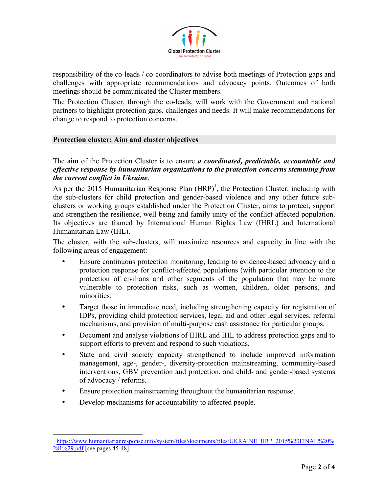

responsibility of the co-leads / co-coordinators to advise both meetings of Protection gaps and challenges with appropriate recommendations and advocacy points. Outcomes of both meetings should be communicated the Cluster members.

The Protection Cluster, through the co-leads, will work with the Government and national partners to highlight protection gaps, challenges and needs. It will make recommendations for change to respond to protection concerns.

## **Protection cluster: Aim and cluster objectives**

The aim of the Protection Cluster is to ensure *a coordinated, predictable, accountable and effective response by humanitarian organizations to the protection concerns stemming from the current conflict in Ukraine*.

As per the 2015 Humanitarian Response Plan  $(HRP)^1$ , the Protection Cluster, including with the sub-clusters for child protection and gender-based violence and any other future subclusters or working groups established under the Protection Cluster, aims to protect, support and strengthen the resilience, well-being and family unity of the conflict-affected population. Its objectives are framed by International Human Rights Law (IHRL) and International Humanitarian Law (IHL).

The cluster, with the sub-clusters, will maximize resources and capacity in line with the following areas of engagement:

- Ensure continuous protection monitoring, leading to evidence-based advocacy and a protection response for conflict-affected populations (with particular attention to the protection of civilians and other segments of the population that may be more vulnerable to protection risks, such as women, children, older persons, and minorities.
- Target those in immediate need, including strengthening capacity for registration of IDPs, providing child protection services, legal aid and other legal services, referral mechanisms, and provision of multi-purpose cash assistance for particular groups.
- Document and analyse violations of IHRL and IHL to address protection gaps and to support efforts to prevent and respond to such violations.
- State and civil society capacity strengthened to include improved information management, age-, gender-, diversity-protection mainstreaming, community-based interventions, GBV prevention and protection, and child- and gender-based systems of advocacy / reforms.
- Ensure protection mainstreaming throughout the humanitarian response.
- Develop mechanisms for accountability to affected people.

 

<sup>1</sup> https://www.humanitarianresponse.info/system/files/documents/files/UKRAINE\_HRP\_2015%20FINAL%20% 281%29.pdf [see pages 45-48].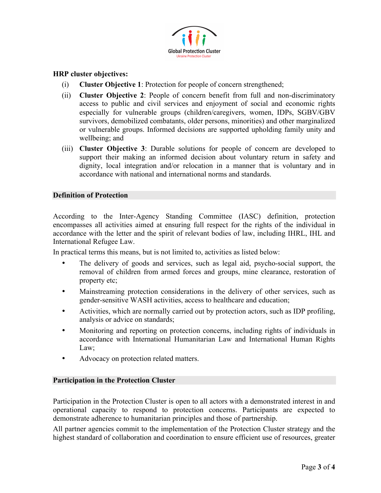

# **HRP cluster objectives:**

- (i) **Cluster Objective 1**: Protection for people of concern strengthened;
- (ii) **Cluster Objective 2**: People of concern benefit from full and non-discriminatory access to public and civil services and enjoyment of social and economic rights especially for vulnerable groups (children/caregivers, women, IDPs, SGBV/GBV survivors, demobilized combatants, older persons, minorities) and other marginalized or vulnerable groups. Informed decisions are supported upholding family unity and wellbeing; and
- (iii) **Cluster Objective 3**: Durable solutions for people of concern are developed to support their making an informed decision about voluntary return in safety and dignity, local integration and/or relocation in a manner that is voluntary and in accordance with national and international norms and standards.

## **Definition of Protection**

According to the Inter-Agency Standing Committee (IASC) definition, protection encompasses all activities aimed at ensuring full respect for the rights of the individual in accordance with the letter and the spirit of relevant bodies of law, including IHRL, IHL and International Refugee Law.

In practical terms this means, but is not limited to, activities as listed below:

- The delivery of goods and services, such as legal aid, psycho-social support, the removal of children from armed forces and groups, mine clearance, restoration of property etc;
- Mainstreaming protection considerations in the delivery of other services, such as gender-sensitive WASH activities, access to healthcare and education;
- Activities, which are normally carried out by protection actors, such as IDP profiling, analysis or advice on standards;
- Monitoring and reporting on protection concerns, including rights of individuals in accordance with International Humanitarian Law and International Human Rights Law;
- Advocacy on protection related matters.

# **Participation in the Protection Cluster**

Participation in the Protection Cluster is open to all actors with a demonstrated interest in and operational capacity to respond to protection concerns. Participants are expected to demonstrate adherence to humanitarian principles and those of partnership.

All partner agencies commit to the implementation of the Protection Cluster strategy and the highest standard of collaboration and coordination to ensure efficient use of resources, greater